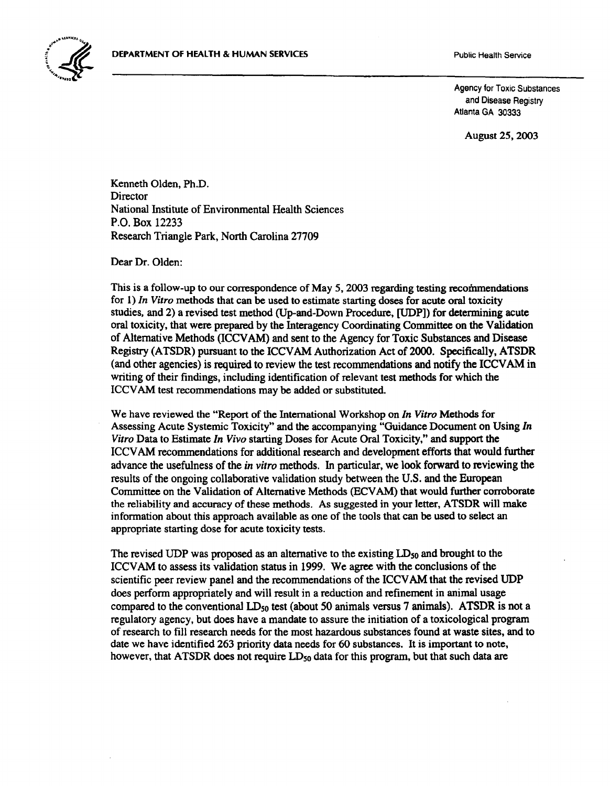

Agency for Toxic Substances and Disease Registry Atlanta GA 30333

August 25,2003

Kenneth Olden, Ph.D. **Director** National Institute of Environmental Health Sciences P.O. Box 12233 Research Triangle Park, North Carolina 27709

Dear Dr. Olden:

This is a follow-up to our correspondence of May 5, 2003 regarding testing recommendations for 1) *In Vitro* methods that can be used to estimate starting doses for acute oral toxicity studies, and 2) a revised test method (Up-and-Down Procedure, [UDP]) for determining acute oral toxicity, that were prepared by the Interagency Coordinating Committee on the Validation of Alternative Methods (ICCV AM) and sent to the Agency for Toxic Substances and Disease Registry (ATSDR) pursuant to the ICCV AM Authorization Act of 2000. Specifically, ATSDR (and other agencies) is required to review the test recommendations and notify the ICCV AM in writing of their findings, including identification of relevant test methods for which the ICCVAM test recommendations may be added or substituted.

We have reviewed the "Report of the International Workshop on *In Vitro* Methods for Assessing Acute Systemic Toxicity" and the accompanying "Guidance Document on Using *In Vitro* Data to Estimate *In Vivo* starting Doses for Acute Oral Toxicity," and support the !CCV AM recommendations for additional research and development efforts that would further advance the usefulness of the *in vitro* methods. In particular, we look forward to reviewing the results of the ongoing collaborative validation study between the U.S. and the European Committee on the Validation of Alternative Methods (ECV AM) that would further corroborate the reliability and accuracy of these methods. As suggested in your letter, ATSDR will make information about this approach available as one of the tools that can be used to select an appropriate starting dose for acute toxicity tests.

The revised UDP was proposed as an alternative to the existing *IDso* and brought to the ICCVAM to assess its validation status in 1999. We agree with the conclusions of the scientific peer review panel and the recommendations of the ICCVAM that the revised UDP does perform appropriately and will result in a reduction and refinement in animal usage compared to the conventional *IDso* test (about 50 animals versus 7 animals). ATSDR is not a regulatory agency, but does have a mandate to assure the initiation of a toxicological program of research to fill research needs for the most hazardous substances found at waste sites, and to date we have identified 263 priority data needs for 60 substances. It is important to note, however, that ATSDR does not require  $LD_{50}$  data for this program, but that such data are